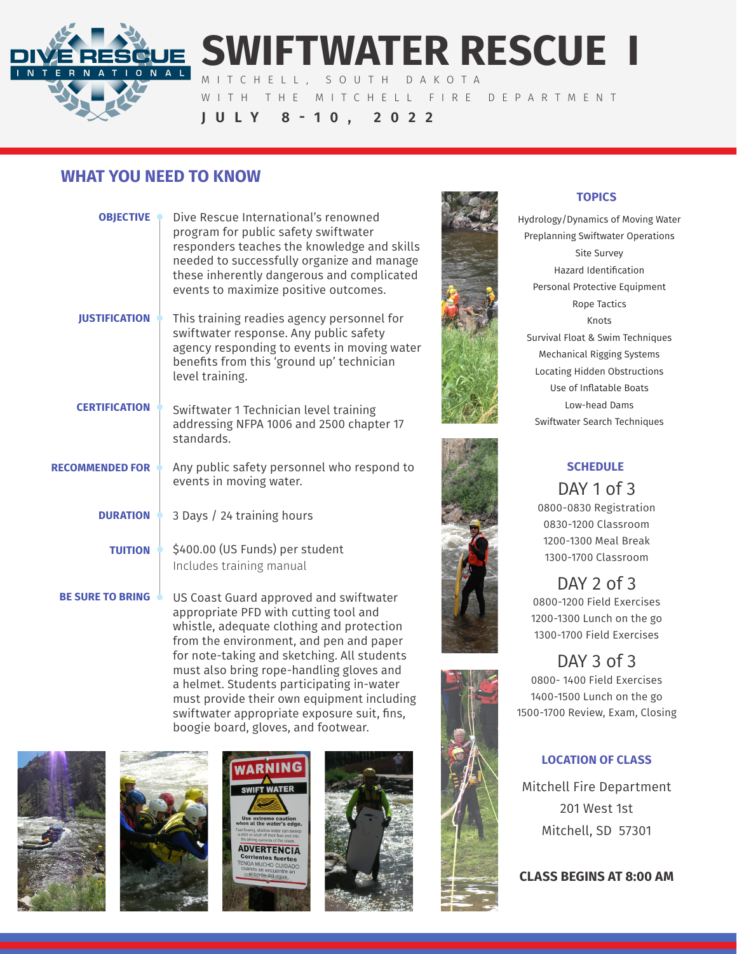

# **SWIFTWATER RESCUE I** MITCHELL, SOUTH DAKOTA

WITH THE MITCHELL FIRE DEPARTMENT **JULY 8-10, 2022**

## **WHAT YOU NEED TO KNOW**

| <b>OBJECTIVE</b>        | Dive Rescue International's renowned<br>program for public safety swiftwater<br>responders teaches the knowledge and skills<br>needed to successfully organize and manage<br>these inherently dangerous and complicated<br>events to maximize positive outcomes. |
|-------------------------|------------------------------------------------------------------------------------------------------------------------------------------------------------------------------------------------------------------------------------------------------------------|
| <b>JUSTIFICATION</b>    | This training readies agency personnel for<br>swiftwater response. Any public safety<br>agency responding to events in moving water<br>benefits from this 'ground up' technician<br>level training.                                                              |
| <b>CERTIFICATION</b>    | Swiftwater 1 Technician level training<br>addressing NFPA 1006 and 2500 chapter 17<br>standards.                                                                                                                                                                 |
| <b>RECOMMENDED FOR</b>  | Any public safety personnel who respond to<br>events in moving water.                                                                                                                                                                                            |
| <b>DURATION</b>         | 3 Days / 24 training hours                                                                                                                                                                                                                                       |
| <b>TUITION</b>          | \$400.00 (US Funds) per student<br>Includes training manual                                                                                                                                                                                                      |
| <b>BE SURE TO BRING</b> | US Coast Guard approved and swiftwater<br>appropriate PFD with cutting tool and<br>whistle, adequate clothing and protection<br>from the environment, and pen and paper                                                                                          |

for note-taking and sketching. All students must also bring rope-handling gloves and a helmet. Students participating in-water must provide their own equipment including swiftwater appropriate exposure suit, fins, boogie board, gloves, and footwear.











#### **TOPICS**

Hydrology/Dynamics of Moving Water Preplanning Swiftwater Operations Site Survey Hazard Identification Personal Protective Equipment Rope Tactics Knots Survival Float & Swim Techniques Mechanical Rigging Systems Locating Hidden Obstructions Use of Inflatable Boats Low-head Dams Swiftwater Search Techniques



## **SCHEDULE**

DAY 1 of 3 0800-0830 Registration 0830-1200 Classroom 1200-1300 Meal Break 1300-1700 Classroom

DAY 2 of 3 0800-1200 Field Exercises 1200-1300 Lunch on the go 1300-1700 Field Exercises

# DAY 3 of 3

0800- 1400 Field Exercises 1400-1500 Lunch on the go 1500-1700 Review, Exam, Closing

#### **LOCATION OF CLASS**

Mitchell Fire Department 201 West 1st Mitchell, SD 57301

**CLASS BEGINS AT 8:00 AM**